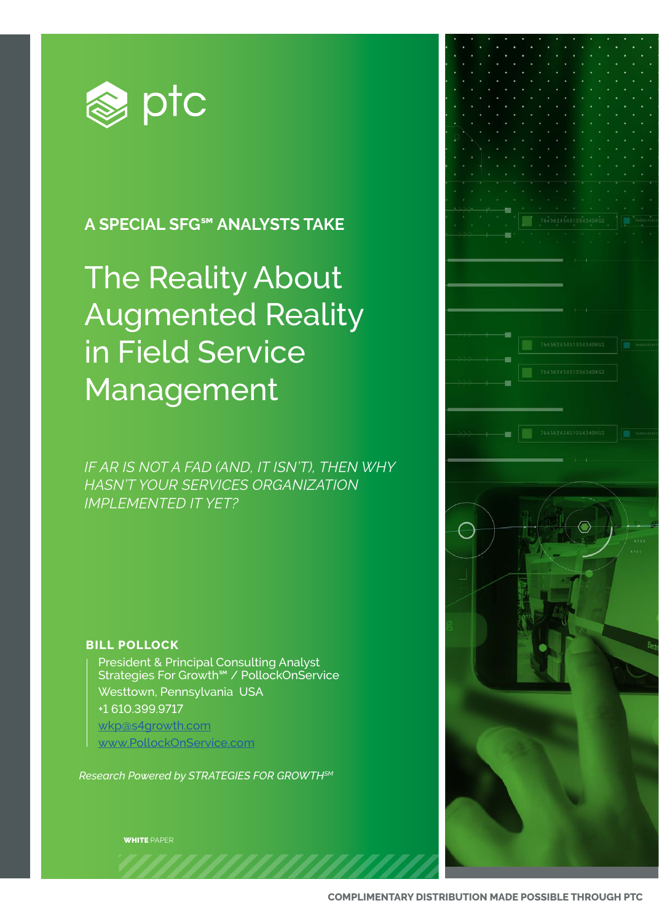

#### **A SPECIAL SFG℠ ANALYSTS TAKE**

# The Reality About Augmented Reality in Field Service Management

*IF AR IS NOT A FAD (AND, IT ISN'T), THEN WHY HASN'T YOUR SERVICES ORGANIZATION IMPLEMENTED IT YET?*

#### **BILL POLLOCK**

President & Principal Consulting Analyst Strategies For Growth℠ / PollockOnService Westtown, Pennsylvania USA +1 610.399.9717 [wkp@s4growth.com](mailto:wkp%40s4growth.com?subject=)

[www.PollockOnService.com](http://www.PollockOnService.com)

*Research Powered by STRATEGIES FOR GROWTHSM*

WHITE PAPER

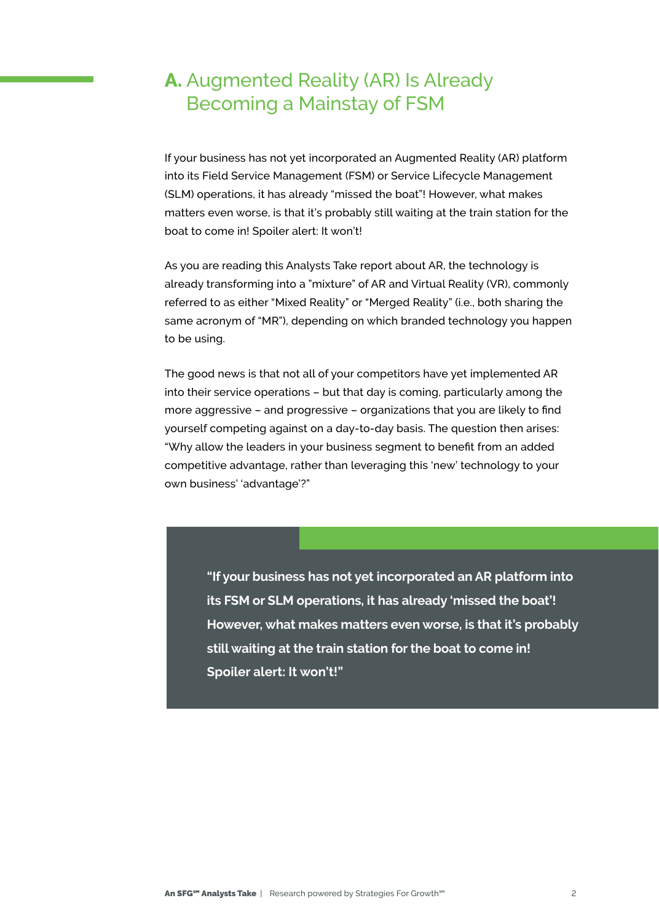### **A.** Augmented Reality (AR) Is Already Becoming a Mainstay of FSM

If your business has not yet incorporated an Augmented Reality (AR) platform into its Field Service Management (FSM) or Service Lifecycle Management (SLM) operations, it has already "missed the boat"! However, what makes matters even worse, is that it's probably still waiting at the train station for the boat to come in! Spoiler alert: It won't!

As you are reading this Analysts Take report about AR, the technology is already transforming into a "mixture" of AR and Virtual Reality (VR), commonly referred to as either "Mixed Reality" or "Merged Reality" (i.e., both sharing the same acronym of "MR"), depending on which branded technology you happen to be using.

The good news is that not all of your competitors have yet implemented AR into their service operations – but that day is coming, particularly among the more aggressive – and progressive – organizations that you are likely to find yourself competing against on a day-to-day basis. The question then arises: "Why allow the leaders in your business segment to benefit from an added competitive advantage, rather than leveraging this 'new' technology to your own business' 'advantage'?"

> **"If your business has not yet incorporated an AR platform into its FSM or SLM operations, it has already 'missed the boat'! However, what makes matters even worse, is that it's probably still waiting at the train station for the boat to come in! Spoiler alert: It won't!"**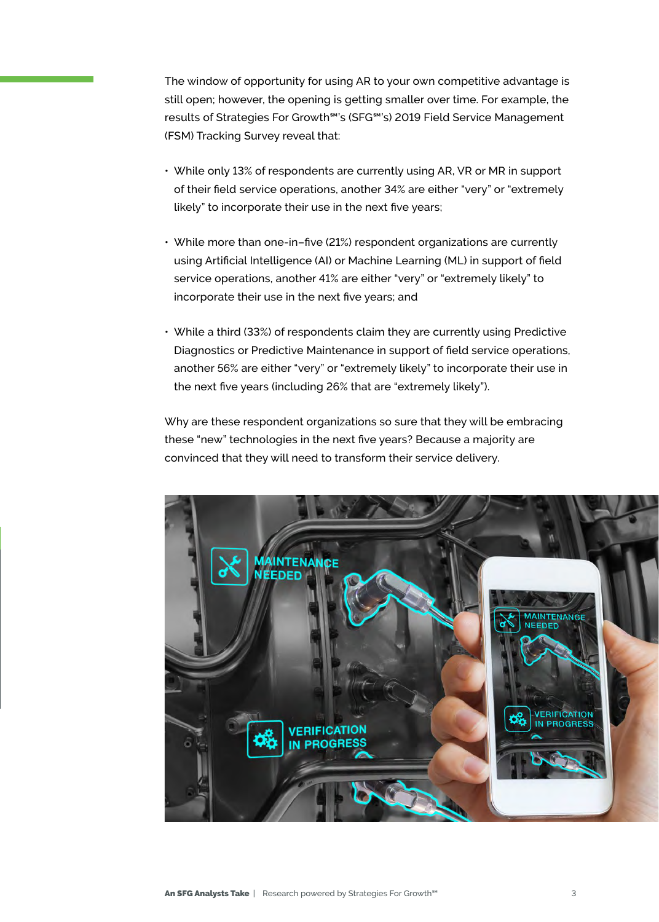The window of opportunity for using AR to your own competitive advantage is still open; however, the opening is getting smaller over time. For example, the results of Strategies For Growth<sup>sm</sup>'s (SFG<sup>sm</sup>'s) 2019 Field Service Management (FSM) Tracking Survey reveal that:

- While only 13% of respondents are currently using AR, VR or MR in support of their field service operations, another 34% are either "very" or "extremely likely" to incorporate their use in the next five years;
- While more than one-in–five (21%) respondent organizations are currently using Artificial Intelligence (AI) or Machine Learning (ML) in support of field service operations, another 41% are either "very" or "extremely likely" to incorporate their use in the next five years; and
- While a third (33%) of respondents claim they are currently using Predictive Diagnostics or Predictive Maintenance in support of field service operations, another 56% are either "very" or "extremely likely" to incorporate their use in the next five years (including 26% that are "extremely likely").

Why are these respondent organizations so sure that they will be embracing these "new" technologies in the next five years? Because a majority are convinced that they will need to transform their service delivery.

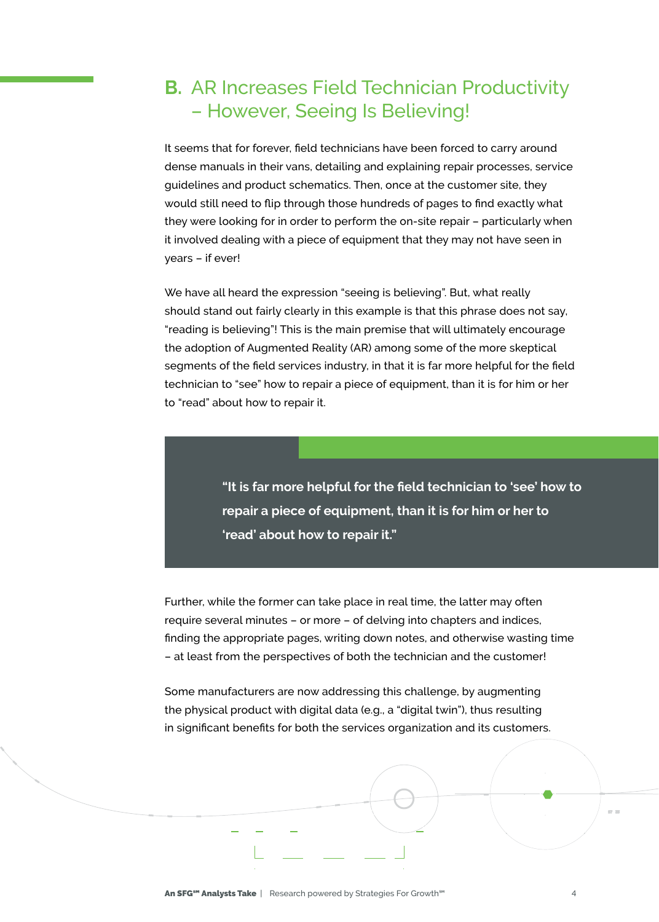### **B.** AR Increases Field Technician Productivity – However, Seeing Is Believing!

It seems that for forever, field technicians have been forced to carry around dense manuals in their vans, detailing and explaining repair processes, service guidelines and product schematics. Then, once at the customer site, they would still need to flip through those hundreds of pages to find exactly what they were looking for in order to perform the on-site repair – particularly when it involved dealing with a piece of equipment that they may not have seen in years – if ever!

We have all heard the expression "seeing is believing". But, what really should stand out fairly clearly in this example is that this phrase does not say, "reading is believing"! This is the main premise that will ultimately encourage the adoption of Augmented Reality (AR) among some of the more skeptical segments of the field services industry, in that it is far more helpful for the field technician to "see" how to repair a piece of equipment, than it is for him or her to "read" about how to repair it.

> **"It is far more helpful for the field technician to 'see' how to repair a piece of equipment, than it is for him or her to 'read' about how to repair it."**

Further, while the former can take place in real time, the latter may often require several minutes – or more – of delving into chapters and indices, finding the appropriate pages, writing down notes, and otherwise wasting time – at least from the perspectives of both the technician and the customer!

Some manufacturers are now addressing this challenge, by augmenting the physical product with digital data (e.g., a "digital twin"), thus resulting in significant benefits for both the services organization and its customers.

97 33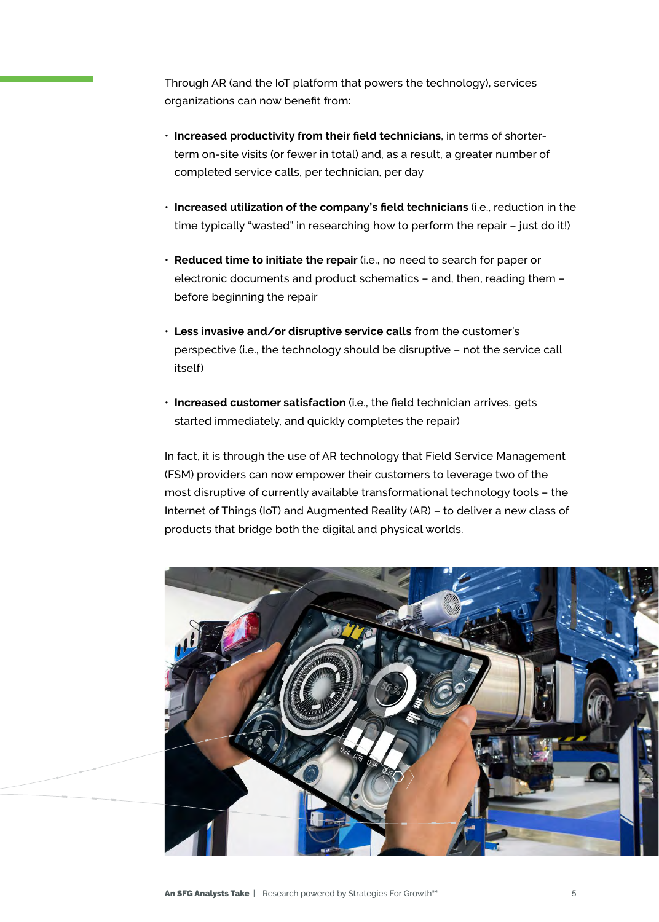Through AR (and the IoT platform that powers the technology), services organizations can now benefit from:

- **Increased productivity from their field technicians**, in terms of shorterterm on-site visits (or fewer in total) and, as a result, a greater number of completed service calls, per technician, per day
- **Increased utilization of the company's field technicians** (i.e., reduction in the time typically "wasted" in researching how to perform the repair – just do it!)
- **Reduced time to initiate the repair** (i.e., no need to search for paper or electronic documents and product schematics – and, then, reading them – before beginning the repair
- **Less invasive and/or disruptive service calls** from the customer's perspective (i.e., the technology should be disruptive – not the service call itself)
- **Increased customer satisfaction** (i.e., the field technician arrives, gets started immediately, and quickly completes the repair)

In fact, it is through the use of AR technology that Field Service Management (FSM) providers can now empower their customers to leverage two of the most disruptive of currently available transformational technology tools – the Internet of Things (IoT) and Augmented Reality (AR) – to deliver a new class of products that bridge both the digital and physical worlds.

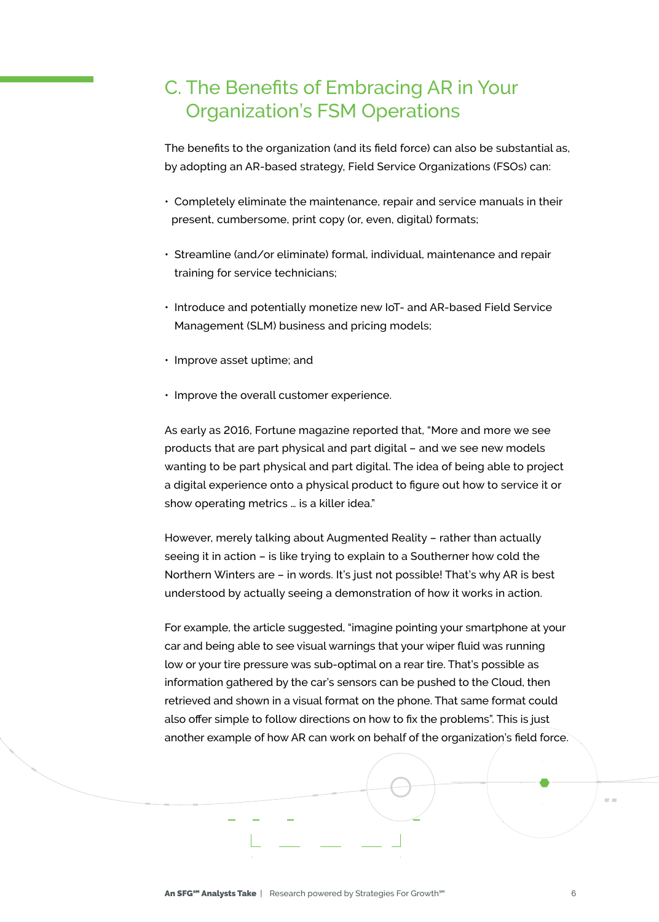### C. The Benefits of Embracing AR in Your Organization's FSM Operations

The benefits to the organization (and its field force) can also be substantial as, by adopting an AR-based strategy, Field Service Organizations (FSOs) can:

- Completely eliminate the maintenance, repair and service manuals in their present, cumbersome, print copy (or, even, digital) formats;
- Streamline (and/or eliminate) formal, individual, maintenance and repair training for service technicians;
- Introduce and potentially monetize new IoT- and AR-based Field Service Management (SLM) business and pricing models;
- Improve asset uptime; and
- Improve the overall customer experience.

As early as 2016, Fortune magazine reported that, "More and more we see products that are part physical and part digital – and we see new models wanting to be part physical and part digital. The idea of being able to project a digital experience onto a physical product to figure out how to service it or show operating metrics … is a killer idea."

However, merely talking about Augmented Reality – rather than actually seeing it in action – is like trying to explain to a Southerner how cold the Northern Winters are – in words. It's just not possible! That's why AR is best understood by actually seeing a demonstration of how it works in action.

For example, the article suggested, "imagine pointing your smartphone at your car and being able to see visual warnings that your wiper fluid was running low or your tire pressure was sub-optimal on a rear tire. That's possible as information gathered by the car's sensors can be pushed to the Cloud, then retrieved and shown in a visual format on the phone. That same format could also offer simple to follow directions on how to fix the problems". This is just another example of how AR can work on behalf of the organization's field force.

97 33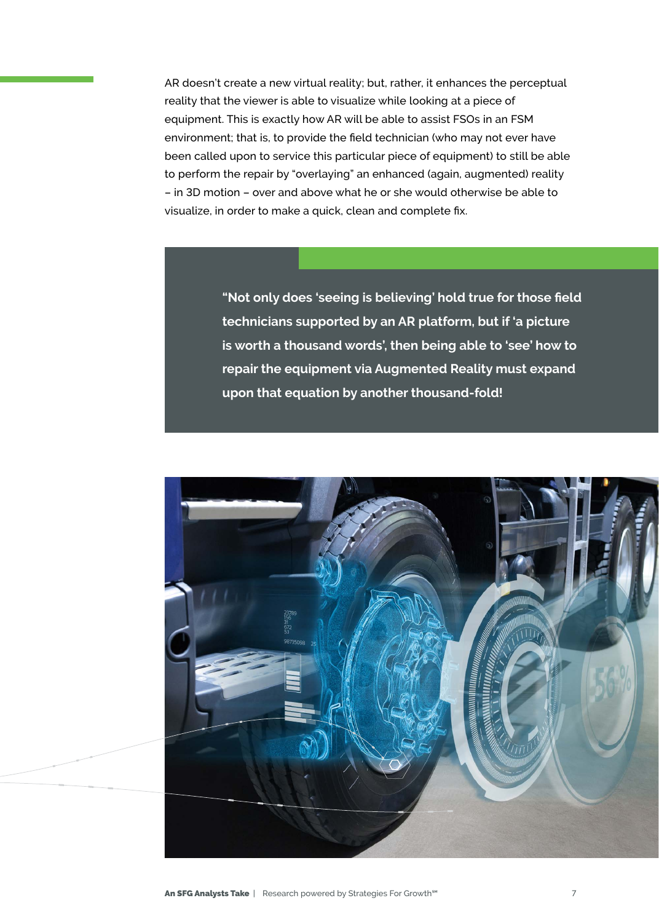

AR doesn't create a new virtual reality; but, rather, it enhances the perceptual reality that the viewer is able to visualize while looking at a piece of equipment. This is exactly how AR will be able to assist FSOs in an FSM environment; that is, to provide the field technician (who may not ever have been called upon to service this particular piece of equipment) to still be able to perform the repair by "overlaying" an enhanced (again, augmented) reality – in 3D motion – over and above what he or she would otherwise be able to visualize, in order to make a quick, clean and complete fix.

> **"Not only does 'seeing is believing' hold true for those field technicians supported by an AR platform, but if 'a picture is worth a thousand words', then being able to 'see' how to repair the equipment via Augmented Reality must expand upon that equation by another thousand-fold!**

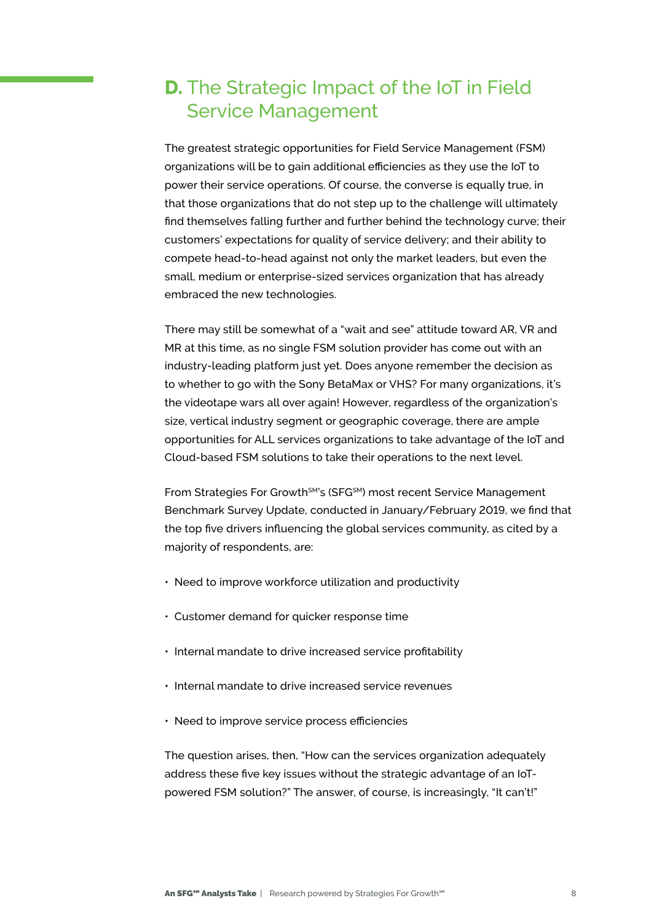### **D.** The Strategic Impact of the IoT in Field Service Management

The greatest strategic opportunities for Field Service Management (FSM) organizations will be to gain additional efficiencies as they use the IoT to power their service operations. Of course, the converse is equally true, in that those organizations that do not step up to the challenge will ultimately find themselves falling further and further behind the technology curve; their customers' expectations for quality of service delivery; and their ability to compete head-to-head against not only the market leaders, but even the small, medium or enterprise-sized services organization that has already embraced the new technologies.

There may still be somewhat of a "wait and see" attitude toward AR, VR and MR at this time, as no single FSM solution provider has come out with an industry-leading platform just yet. Does anyone remember the decision as to whether to go with the Sony BetaMax or VHS? For many organizations, it's the videotape wars all over again! However, regardless of the organization's size, vertical industry segment or geographic coverage, there are ample opportunities for ALL services organizations to take advantage of the IoT and Cloud-based FSM solutions to take their operations to the next level.

From Strategies For Growth<sup>SM</sup>'s (SFG<sup>SM</sup>) most recent Service Management Benchmark Survey Update, conducted in January/February 2019, we find that the top five drivers influencing the global services community, as cited by a majority of respondents, are:

- Need to improve workforce utilization and productivity
- Customer demand for quicker response time
- Internal mandate to drive increased service profitability
- Internal mandate to drive increased service revenues
- Need to improve service process efficiencies

The question arises, then, "How can the services organization adequately address these five key issues without the strategic advantage of an IoTpowered FSM solution?" The answer, of course, is increasingly, "It can't!"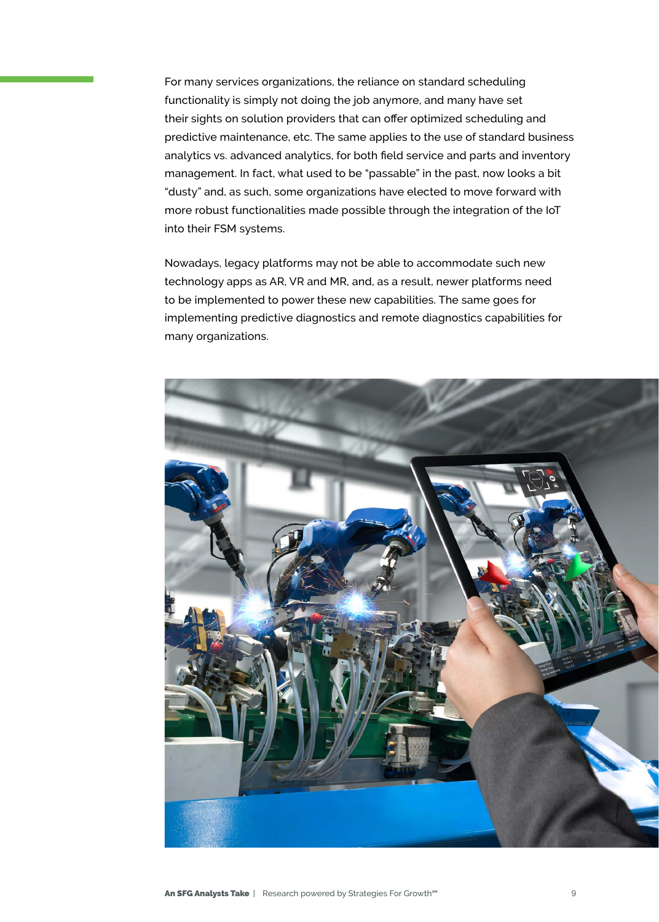For many services organizations, the reliance on standard scheduling functionality is simply not doing the job anymore, and many have set their sights on solution providers that can offer optimized scheduling and predictive maintenance, etc. The same applies to the use of standard business analytics vs. advanced analytics, for both field service and parts and inventory management. In fact, what used to be "passable" in the past, now looks a bit "dusty" and, as such, some organizations have elected to move forward with more robust functionalities made possible through the integration of the IoT into their FSM systems.

Nowadays, legacy platforms may not be able to accommodate such new technology apps as AR, VR and MR, and, as a result, newer platforms need to be implemented to power these new capabilities. The same goes for implementing predictive diagnostics and remote diagnostics capabilities for many organizations.

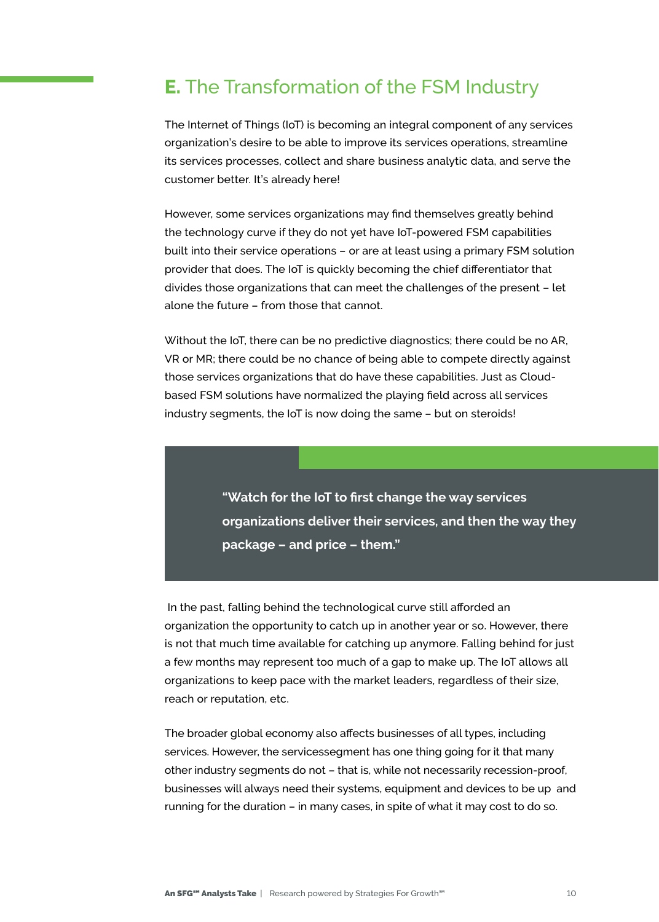### **E.** The Transformation of the FSM Industry

The Internet of Things (IoT) is becoming an integral component of any services organization's desire to be able to improve its services operations, streamline its services processes, collect and share business analytic data, and serve the customer better. It's already here!

However, some services organizations may find themselves greatly behind the technology curve if they do not yet have IoT-powered FSM capabilities built into their service operations – or are at least using a primary FSM solution provider that does. The IoT is quickly becoming the chief differentiator that divides those organizations that can meet the challenges of the present – let alone the future – from those that cannot.

Without the IoT, there can be no predictive diagnostics; there could be no AR, VR or MR; there could be no chance of being able to compete directly against those services organizations that do have these capabilities. Just as Cloudbased FSM solutions have normalized the playing field across all services industry segments, the IoT is now doing the same – but on steroids!

> **"Watch for the IoT to first change the way services organizations deliver their services, and then the way they package – and price – them."**

 In the past, falling behind the technological curve still afforded an organization the opportunity to catch up in another year or so. However, there is not that much time available for catching up anymore. Falling behind for just a few months may represent too much of a gap to make up. The IoT allows all organizations to keep pace with the market leaders, regardless of their size, reach or reputation, etc.

The broader global economy also affects businesses of all types, including services. However, the servicessegment has one thing going for it that many other industry segments do not – that is, while not necessarily recession-proof, businesses will always need their systems, equipment and devices to be up and running for the duration – in many cases, in spite of what it may cost to do so.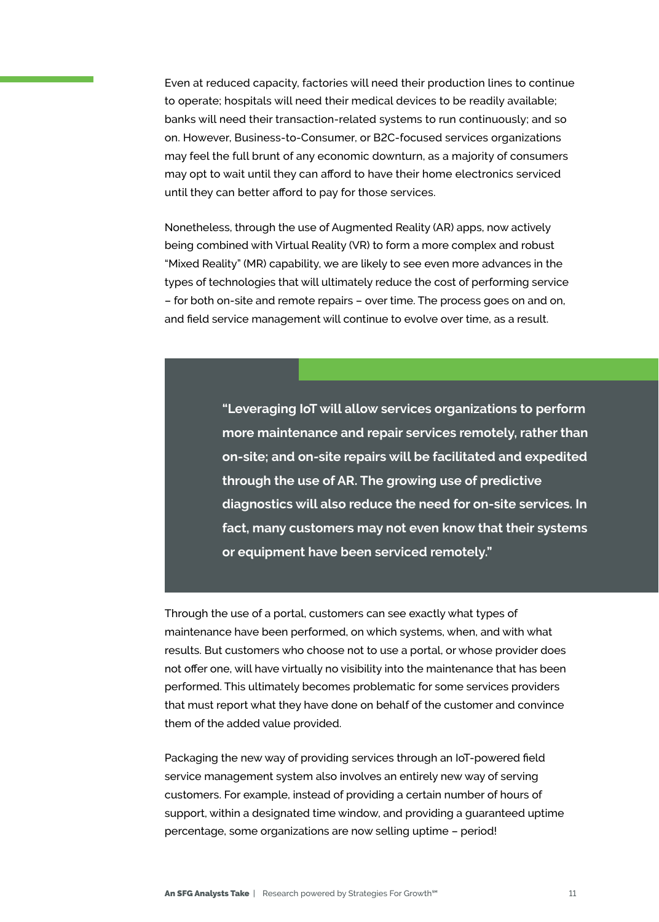

Even at reduced capacity, factories will need their production lines to continue to operate; hospitals will need their medical devices to be readily available; banks will need their transaction-related systems to run continuously; and so on. However, Business-to-Consumer, or B2C-focused services organizations may feel the full brunt of any economic downturn, as a majority of consumers may opt to wait until they can afford to have their home electronics serviced until they can better afford to pay for those services.

Nonetheless, through the use of Augmented Reality (AR) apps, now actively being combined with Virtual Reality (VR) to form a more complex and robust "Mixed Reality" (MR) capability, we are likely to see even more advances in the types of technologies that will ultimately reduce the cost of performing service – for both on-site and remote repairs – over time. The process goes on and on, and field service management will continue to evolve over time, as a result.

> **"Leveraging IoT will allow services organizations to perform more maintenance and repair services remotely, rather than on-site; and on-site repairs will be facilitated and expedited through the use of AR. The growing use of predictive diagnostics will also reduce the need for on-site services. In fact, many customers may not even know that their systems or equipment have been serviced remotely."**

Through the use of a portal, customers can see exactly what types of maintenance have been performed, on which systems, when, and with what results. But customers who choose not to use a portal, or whose provider does not offer one, will have virtually no visibility into the maintenance that has been performed. This ultimately becomes problematic for some services providers that must report what they have done on behalf of the customer and convince them of the added value provided.

Packaging the new way of providing services through an IoT-powered field service management system also involves an entirely new way of serving customers. For example, instead of providing a certain number of hours of support, within a designated time window, and providing a guaranteed uptime percentage, some organizations are now selling uptime – period!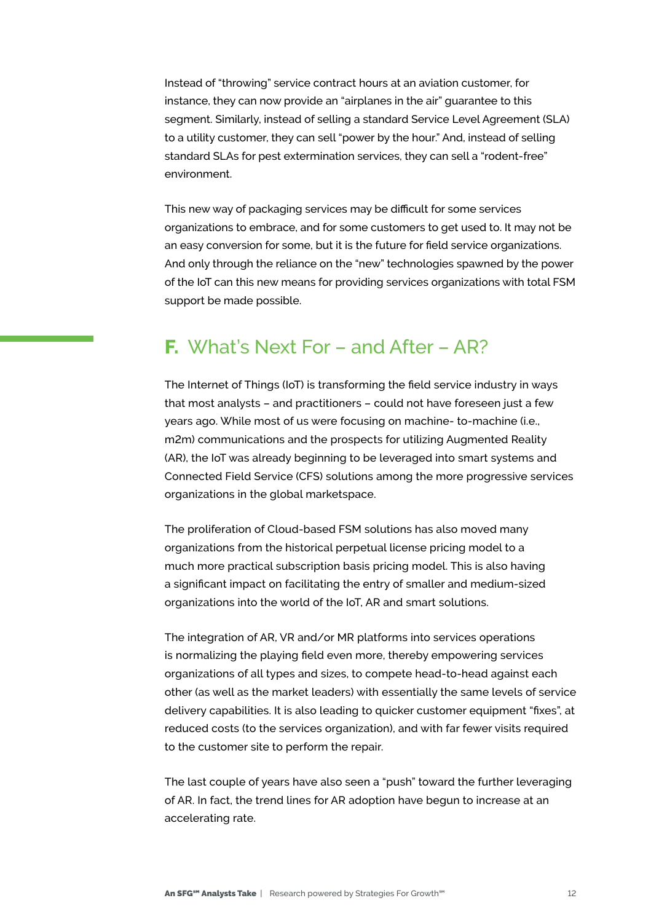Instead of "throwing" service contract hours at an aviation customer, for instance, they can now provide an "airplanes in the air" guarantee to this segment. Similarly, instead of selling a standard Service Level Agreement (SLA) to a utility customer, they can sell "power by the hour." And, instead of selling standard SLAs for pest extermination services, they can sell a "rodent-free" environment.

This new way of packaging services may be difficult for some services organizations to embrace, and for some customers to get used to. It may not be an easy conversion for some, but it is the future for field service organizations. And only through the reliance on the "new" technologies spawned by the power of the IoT can this new means for providing services organizations with total FSM support be made possible.

### **F.** What's Next For – and After – AR?

The Internet of Things (IoT) is transforming the field service industry in ways that most analysts – and practitioners – could not have foreseen just a few years ago. While most of us were focusing on machine- to-machine (i.e., m2m) communications and the prospects for utilizing Augmented Reality (AR), the IoT was already beginning to be leveraged into smart systems and Connected Field Service (CFS) solutions among the more progressive services organizations in the global marketspace.

The proliferation of Cloud-based FSM solutions has also moved many organizations from the historical perpetual license pricing model to a much more practical subscription basis pricing model. This is also having a significant impact on facilitating the entry of smaller and medium-sized organizations into the world of the IoT, AR and smart solutions.

The integration of AR, VR and/or MR platforms into services operations is normalizing the playing field even more, thereby empowering services organizations of all types and sizes, to compete head-to-head against each other (as well as the market leaders) with essentially the same levels of service delivery capabilities. It is also leading to quicker customer equipment "fixes", at reduced costs (to the services organization), and with far fewer visits required to the customer site to perform the repair.

The last couple of years have also seen a "push" toward the further leveraging of AR. In fact, the trend lines for AR adoption have begun to increase at an accelerating rate.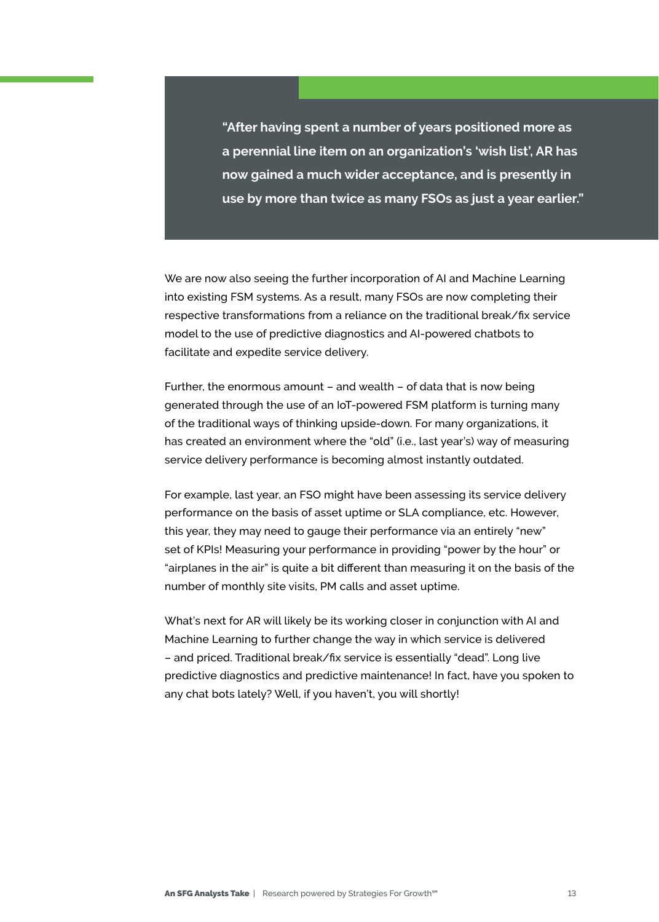**"After having spent a number of years positioned more as a perennial line item on an organization's 'wish list', AR has now gained a much wider acceptance, and is presently in use by more than twice as many FSOs as just a year earlier."**

We are now also seeing the further incorporation of AI and Machine Learning into existing FSM systems. As a result, many FSOs are now completing their respective transformations from a reliance on the traditional break/fix service model to the use of predictive diagnostics and AI-powered chatbots to facilitate and expedite service delivery.

Further, the enormous amount – and wealth – of data that is now being generated through the use of an IoT-powered FSM platform is turning many of the traditional ways of thinking upside-down. For many organizations, it has created an environment where the "old" (i.e., last year's) way of measuring service delivery performance is becoming almost instantly outdated.

For example, last year, an FSO might have been assessing its service delivery performance on the basis of asset uptime or SLA compliance, etc. However, this year, they may need to gauge their performance via an entirely "new" set of KPIs! Measuring your performance in providing "power by the hour" or "airplanes in the air" is quite a bit different than measuring it on the basis of the number of monthly site visits, PM calls and asset uptime.

What's next for AR will likely be its working closer in conjunction with AI and Machine Learning to further change the way in which service is delivered – and priced. Traditional break/fix service is essentially "dead". Long live predictive diagnostics and predictive maintenance! In fact, have you spoken to any chat bots lately? Well, if you haven't, you will shortly!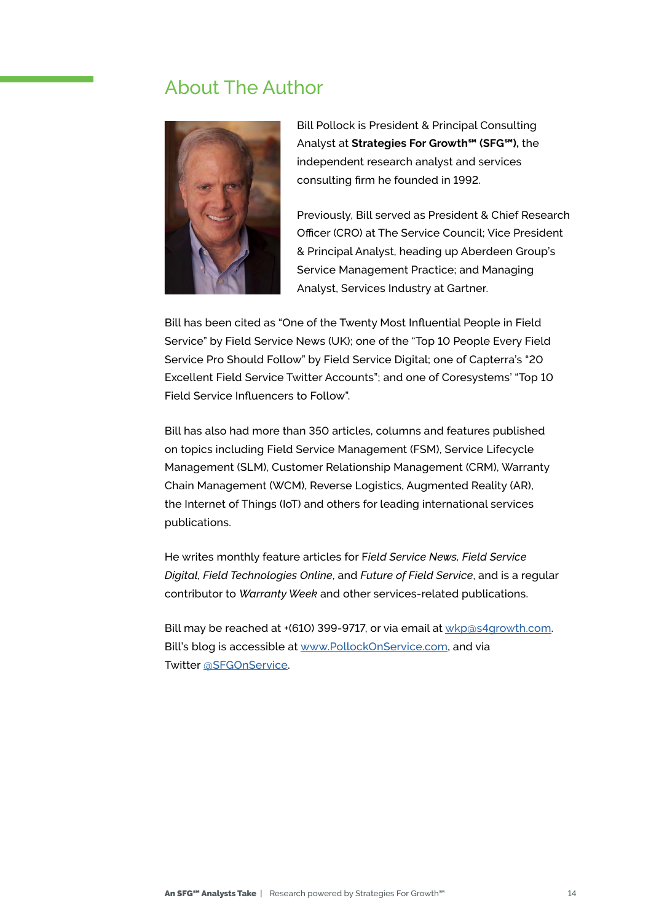#### About The Author



Bill Pollock is President & Principal Consulting Analyst at **Strategies For Growth℠ (SFG℠),** the independent research analyst and services consulting firm he founded in 1992.

Previously, Bill served as President & Chief Research Officer (CRO) at The Service Council; Vice President & Principal Analyst, heading up Aberdeen Group's Service Management Practice; and Managing Analyst, Services Industry at Gartner.

Bill has been cited as "One of the Twenty Most Influential People in Field Service" by Field Service News (UK); one of the "Top 10 People Every Field Service Pro Should Follow" by Field Service Digital; one of Capterra's "20 Excellent Field Service Twitter Accounts"; and one of Coresystems' "Top 10 Field Service Influencers to Follow".

Bill has also had more than 350 articles, columns and features published on topics including Field Service Management (FSM), Service Lifecycle Management (SLM), Customer Relationship Management (CRM), Warranty Chain Management (WCM), Reverse Logistics, Augmented Reality (AR), the Internet of Things (IoT) and others for leading international services publications.

He writes monthly feature articles for F*ield Service News, Field Service Digital, Field Technologies Online*, and *Future of Field Service*, and is a regular contributor to *Warranty Week* and other services-related publications.

Bill may be reached at +(610) 399-9717, or via email at [wkp@s4growth.com](mailto:wkp%40s4growth.com?subject=). Bill's blog is accessible at [www.PollockOnService.com](http://www.PollockOnService.com), and via Twitter [@SFGOnService](https://twitter.com/SFGOnService?ref_src=twsrc%5Egoogle%7Ctwcamp%5Eserp%7Ctwgr%5Eauthor).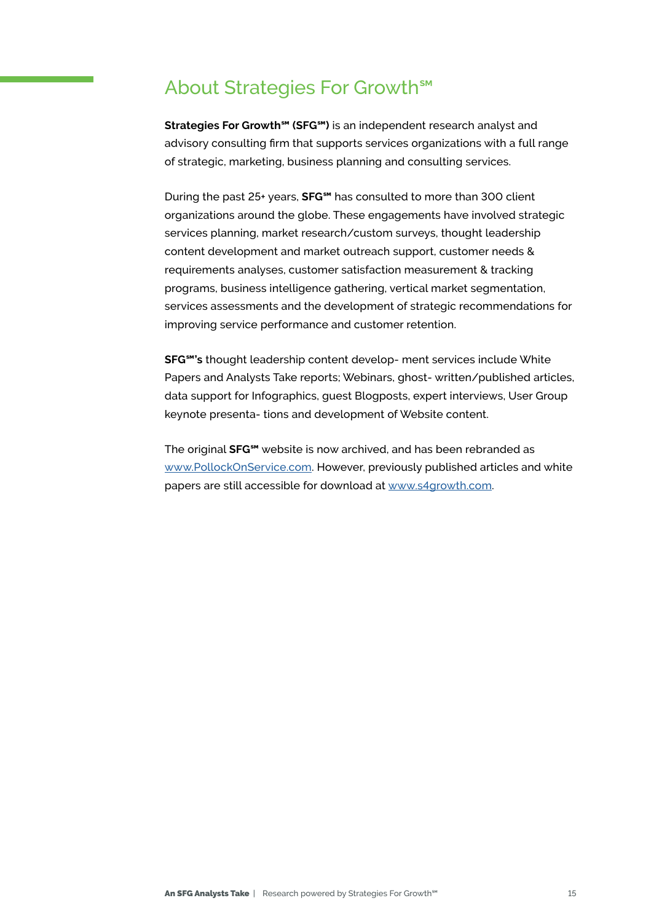## About Strategies For Growth<sup>5M</sup>

**Strategies For Growth℠ (SFG℠)** is an independent research analyst and advisory consulting firm that supports services organizations with a full range of strategic, marketing, business planning and consulting services.

During the past 25+ years, **SFG℠** has consulted to more than 300 client organizations around the globe. These engagements have involved strategic services planning, market research/custom surveys, thought leadership content development and market outreach support, customer needs & requirements analyses, customer satisfaction measurement & tracking programs, business intelligence gathering, vertical market segmentation, services assessments and the development of strategic recommendations for improving service performance and customer retention.

**SFG℠'s** thought leadership content develop- ment services include White Papers and Analysts Take reports; Webinars, ghost- written/published articles, data support for Infographics, guest Blogposts, expert interviews, User Group keynote presenta- tions and development of Website content.

The original **SFG℠** website is now archived, and has been rebranded as [www.PollockOnService.com](http://www.PollockOnService.com). However, previously published articles and white papers are still accessible for download at [www.s4growth.com](http://www.s4growth.com).